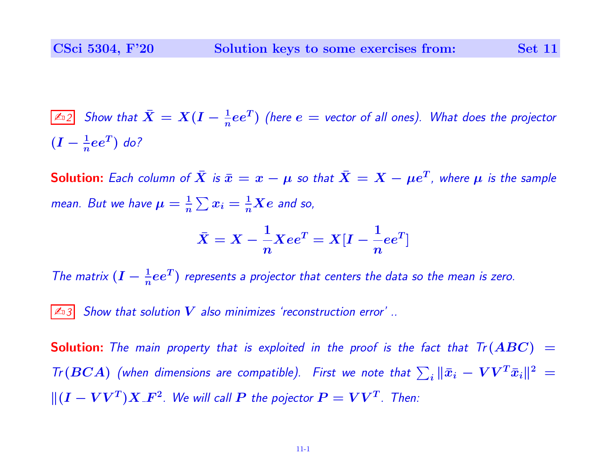≰ಾ $2$  Show that  $\bar{X} = X(I - \frac{1}{n}ee^T)$  (here  $e =$  vector of all ones). What does the projector  $(I - \frac{1}{n}ee^T)$  do?

**Solution:** Each column of  $\bar{X}$  is  $\bar{x}=x-\mu$  so that  $\bar{X}=X-\mu e^T$ , where  $\mu$  is the sample mean. But we have  $\mu = \frac{1}{n}$  $\frac{1}{n}\sum x_i = \frac{1}{n}$  $\frac{1}{n}Xe$  and so,

$$
\bar{X}=X-\frac{1}{n}Xee^T=X[I-\frac{1}{n}ee^T]
$$

The matrix  $(I - \frac{1}{n}ee^T)$  represents a projector that centers the data so the mean is zero.

 $|\mathbb{A}_3|$  Show that solution V also minimizes 'reconstruction error' ..

**Solution:** The main property that is exploited in the proof is the fact that  $Tr(ABC)$  = Tr (BCA) (when dimensions are compatible). First we note that  $\sum_i \|\bar{x}_i - V V^T \bar{x}_i\|^2 =$  $\| (\boldsymbol{I} - \boldsymbol{V}\boldsymbol{V}^T)\boldsymbol{X}\_F{\!}^2$ . We will call  $\boldsymbol{P}$  the pojector  $\boldsymbol{P} = \boldsymbol{V}\boldsymbol{V}^T$ . Then: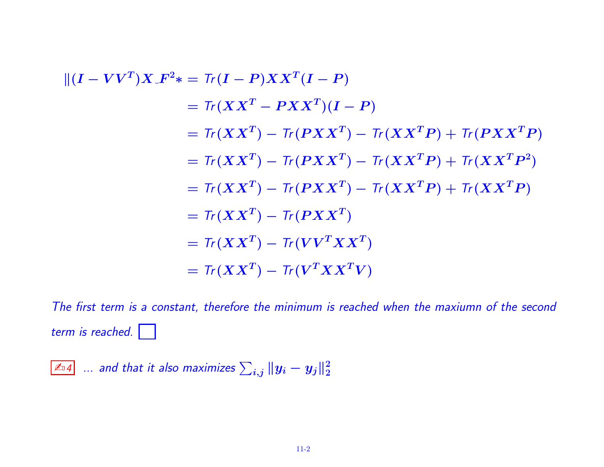$$
\begin{aligned}\n\| (I - V V^T) X \cdot F^2 \ast &= \text{Tr} (I - P) X X^T (I - P) \\
&= \text{Tr} (X X^T - P X X^T) (I - P) \\
&= \text{Tr} (X X^T) - \text{Tr} (P X X^T) - \text{Tr} (X X^T P) + \text{Tr} (P X X^T P) \\
&= \text{Tr} (X X^T) - \text{Tr} (P X X^T) - \text{Tr} (X X^T P) + \text{Tr} (X X^T P^2) \\
&= \text{Tr} (X X^T) - \text{Tr} (P X X^T) - \text{Tr} (X X^T P) + \text{Tr} (X X^T P) \\
&= \text{Tr} (X X^T) - \text{Tr} (P X X^T) \\
&= \text{Tr} (X X^T) - \text{Tr} (V^T X X^T) \\
&= \text{Tr} (X X^T) - \text{Tr} (V^T X X^T V)\n\end{aligned}
$$

The first term is a constant, therefore the minimum is reached when the maxiumn of the second term is reached.

≰ಾ $4^{\top}$  ... and that it also maximizes  $\sum_{i,j} \| y_i - y_j \|_2^2$ 2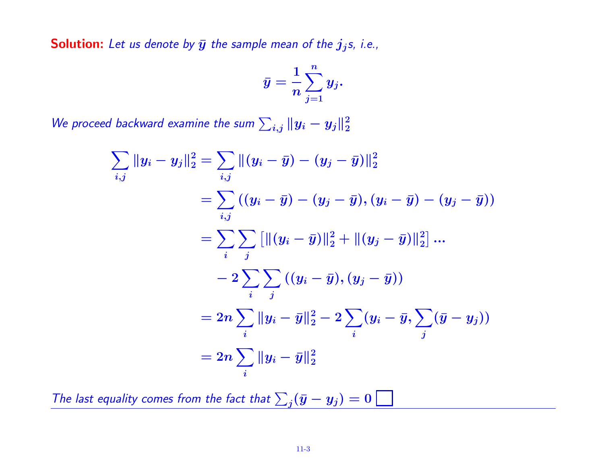**Solution:** Let us denote by  $\bar{y}$  the sample mean of the  $j_j$ s, i.e.,

$$
\bar{y} = \frac{1}{n} \sum_{j=1}^n y_j.
$$

We proceed backward examine the sum  $\sum_{i,j} \|y_i - y_j\|_2^2$ 2

$$
\sum_{i,j} ||y_i - y_j||_2^2 = \sum_{i,j} ||(y_i - \bar{y}) - (y_j - \bar{y})||_2^2
$$
  
= 
$$
\sum_{i,j} ((y_i - \bar{y}) - (y_j - \bar{y}), (y_i - \bar{y}) - (y_j - \bar{y}))
$$
  
= 
$$
\sum_{i} \sum_{j} [||(y_i - \bar{y})||_2^2 + ||(y_j - \bar{y})||_2^2] ...
$$
  
- 
$$
- 2 \sum_{i} \sum_{j} ((y_i - \bar{y}), (y_j - \bar{y}))
$$
  
= 
$$
2n \sum_{i} ||y_i - \bar{y}||_2^2 - 2 \sum_{i} (y_i - \bar{y}, \sum_{j} (\bar{y} - y_j))
$$
  
= 
$$
2n \sum_{i} ||y_i - \bar{y}||_2^2
$$

The last equality comes from the fact that  $\sum_j (\bar{y} - y_j) = 0$